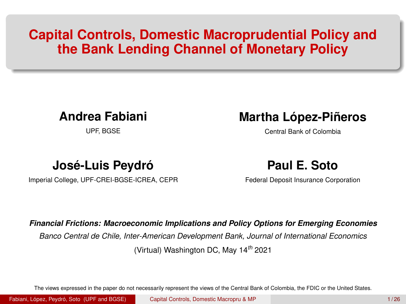# <span id="page-0-0"></span>**Capital Controls, Domestic Macroprudential Policy and the Bank Lending Channel of Monetary Policy**

### **Andrea Fabiani**

UPF, BGSE

### **Martha López-Piñeros**

Central Bank of Colombia

### **José-Luis Peydró**

Imperial College, UPF-CREI-BGSE-ICREA, CEPR

### **Paul E. Soto**

Federal Deposit Insurance Corporation

#### *Financial Frictions: Macroeconomic Implications and Policy Options for Emerging Economies*

*Banco Central de Chile, Inter-American Development Bank, Journal of International Economics*

(Virtual) Washington DC, May 14*th* 2021

The views expressed in the paper do not necessarily represent the views of the Central Bank of Colombia, the FDIC or the United States.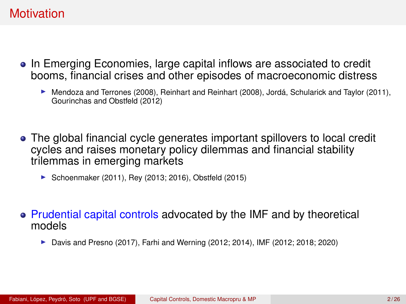### **Motivation**

- In Emerging Economies, large capital inflows are associated to credit booms, financial crises and other episodes of macroeconomic distress
	- $\blacktriangleright$  Mendoza and Terrones (2008), Reinhart and Reinhart (2008), Jordá, Schularick and Taylor (2011), Gourinchas and Obstfeld (2012)
- The global financial cycle generates important spillovers to local credit cycles and raises monetary policy dilemmas and financial stability trilemmas in emerging markets
	- ▶ Schoenmaker (2011), Rey (2013; 2016), Obstfeld (2015)
- Prudential capital controls advocated by the IMF and by theoretical models
	- $\blacktriangleright$  Davis and Presno (2017), Farhi and Werning (2012; 2014), IMF (2012; 2018; 2020)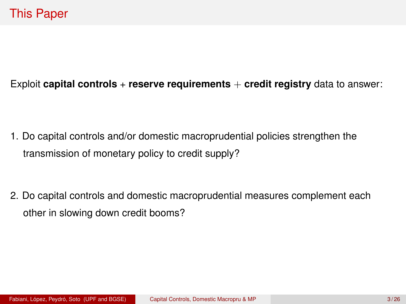### Exploit **capital controls** + **reserve requirements** + **credit registry** data to answer:

1. Do capital controls and/or domestic macroprudential policies strengthen the transmission of monetary policy to credit supply?

2. Do capital controls and domestic macroprudential measures complement each other in slowing down credit booms?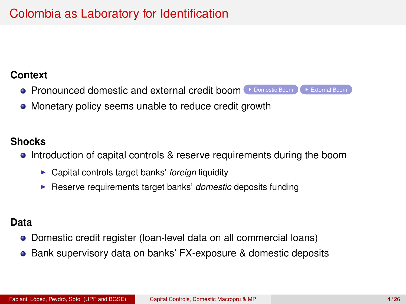# Colombia as Laboratory for Identification

#### <span id="page-3-0"></span>**Context**

- $\bullet$  Pronounced domestic and external credit boom  $\bullet$  [Domestic Boom](#page-26-0)  $\bullet$  [External Boom](#page-27-0)
- Monetary policy seems unable to reduce credit growth

### **Shocks**

- Introduction of capital controls & reserve requirements during the boom
	- **Capital controls target banks' foreign liquidity**
	- **EXECT:** Reserve requirements target banks' *domestic* deposits funding

#### **Data**

- Domestic credit register (loan-level data on all commercial loans)
- Bank supervisory data on banks' FX-exposure & domestic deposits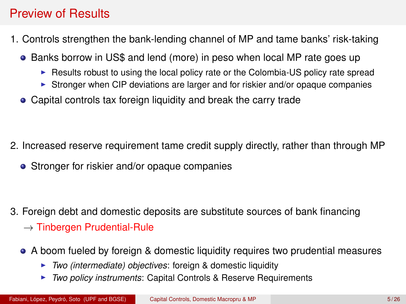# Preview of Results

- 1. Controls strengthen the bank-lending channel of MP and tame banks' risk-taking
	- Banks borrow in US\$ and lend (more) in peso when local MP rate goes up
		- $\triangleright$  Results robust to using the local policy rate or the Colombia-US policy rate spread
		- In Stronger when CIP deviations are larger and for riskier and/or opaque companies
	- Capital controls tax foreign liquidity and break the carry trade

- 2. Increased reserve requirement tame credit supply directly, rather than through MP
	- Stronger for riskier and/or opaque companies

- 3. Foreign debt and domestic deposits are substitute sources of bank financing
	- $\rightarrow$  Tinbergen Prudential-Rule
	- A boom fueled by foreign & domestic liquidity requires two prudential measures
		- ▶ *Two (intermediate) objectives*: foreign & domestic liquidity
		- ▶ *Two policy instruments*: Capital Controls & Reserve Requirements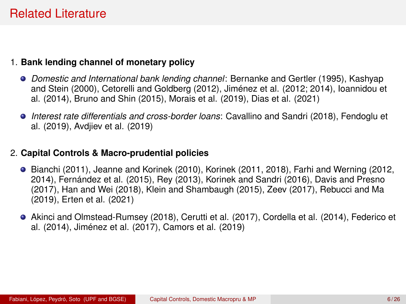### Related Literature

#### 1. **Bank lending channel of monetary policy**

- *Domestic and International bank lending channel*: Bernanke and Gertler (1995), Kashyap and Stein (2000), Cetorelli and Goldberg (2012), Jiménez et al. (2012; 2014), Ioannidou et al. (2014), Bruno and Shin (2015), Morais et al. (2019), Dias et al. (2021)
- *Interest rate differentials and cross-border loans*: Cavallino and Sandri (2018), Fendoglu et al. (2019), Avdjiev et al. (2019)

#### 2. **Capital Controls & Macro-prudential policies**

- **•** Bianchi (2011), Jeanne and Korinek (2010), Korinek (2011, 2018), Farhi and Werning (2012, 2014), Fernández et al. (2015), Rey (2013), Korinek and Sandri (2016), Davis and Presno (2017), Han and Wei (2018), Klein and Shambaugh (2015), Zeev (2017), Rebucci and Ma (2019), Erten et al. (2021)
- Akinci and Olmstead-Rumsey (2018), Cerutti et al. (2017), Cordella et al. (2014), Federico et al. (2014), Jiménez et al. (2017), Camors et al. (2019)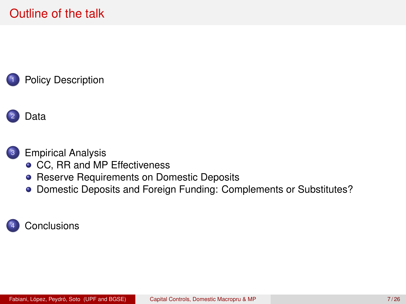### [Policy Description](#page-7-0)

# [Data](#page-10-0)

### <sup>3</sup> [Empirical Analysis](#page-11-0)

- [CC, RR and MP Effectiveness](#page-11-0)
- **[Reserve Requirements on Domestic Deposits](#page-20-0)**
- [Domestic Deposits and Foreign Funding: Complements or Substitutes?](#page-24-0)

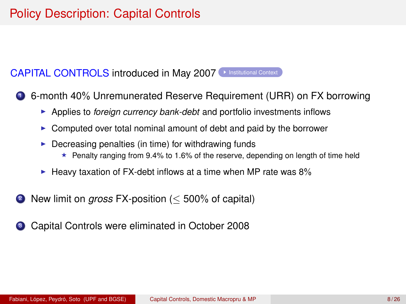# <span id="page-7-0"></span>Policy Description: Capital Controls

#### <span id="page-7-1"></span>CAPITAL CONTROLS introduced in May 2007 > [Institutional Context](#page-28-0)

<sup>1</sup> 6-month 40% Unremunerated Reserve Requirement (URR) on FX borrowing

- **Applies to** *foreign currency bank-debt* and portfolio investments inflows
- $\triangleright$  Computed over total nominal amount of debt and paid by the borrower
- $\triangleright$  Decreasing penalties (in time) for withdrawing funds
	- $\star$  Penalty ranging from 9.4% to 1.6% of the reserve, depending on length of time held
- $\blacktriangleright$  Heavy taxation of FX-debt inflows at a time when MP rate was 8%
- <sup>2</sup> New limit on *gross* FX-position (≤ 500% of capital)
- <sup>3</sup> Capital Controls were eliminated in October 2008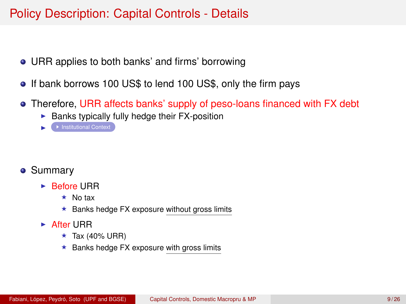### Policy Description: Capital Controls - Details

- URR applies to both banks' and firms' borrowing
- If bank borrows 100 US\$ to lend 100 US\$, only the firm pays
- Therefore, URR affects banks' supply of peso-loans financed with FX debt
	- $\blacktriangleright$  Banks typically fully hedge their FX-position
	- $\mapsto$  [Institutional Context](#page-28-0)

- **•** Summary
	- $\blacktriangleright$  Before URR
		- $\star$  No tax
		- $\star$  Banks hedge FX exposure without gross limits
	- $\triangleright$  After URR
		- $\star$  Tax (40% URR)
		- $\star$  Banks hedge FX exposure with gross limits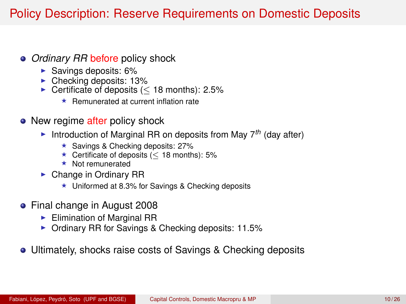# Policy Description: Reserve Requirements on Domestic Deposits

#### *Ordinary RR* before policy shock

- $\blacktriangleright$  Savings deposits: 6%
- $\triangleright$  Checking deposits: 13%
- $\triangleright$  Certificate of deposits ( < 18 months): 2.5%
	- $\star$  Remunerated at current inflation rate

#### • New regime after policy shock

- Introduction of Marginal RR on deposits from May  $7<sup>th</sup>$  (day after)
	- $\star$  Savings & Checking deposits: 27%
	- $★$  Certificate of deposits ( $<$  18 months): 5%
	- $\star$  Not remunerated
- $\triangleright$  Change in Ordinary RR
	- $\star$  Uniformed at 8.3% for Savings & Checking deposits
- Final change in August 2008
	- $\blacktriangleright$  Elimination of Marginal RR
	- $\triangleright$  Ordinary RR for Savings & Checking deposits: 11.5%
- Ultimately, shocks raise costs of Savings & Checking deposits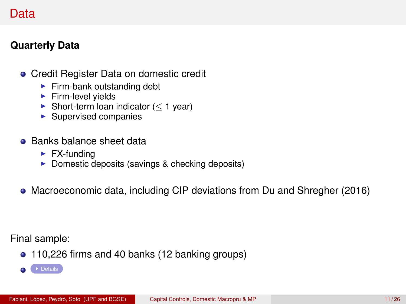### <span id="page-10-1"></span><span id="page-10-0"></span>Data

### **Quarterly Data**

- Credit Register Data on domestic credit
	- $\blacktriangleright$  Firm-bank outstanding debt
	- $\blacktriangleright$  Firm-level yields
	- $\triangleright$  Short-term loan indicator ( $\leq$  1 year)
	- $\blacktriangleright$  Supervised companies
- **Banks balance sheet data** 
	- $\blacktriangleright$  FX-funding
	- $\triangleright$  Domestic deposits (savings & checking deposits)
- Macroeconomic data, including CIP deviations from Du and Shregher (2016)

Final sample:

- 110,226 firms and 40 banks (12 banking groups)
- $\bigcap$   $\bigcap$  [Details](#page-29-0)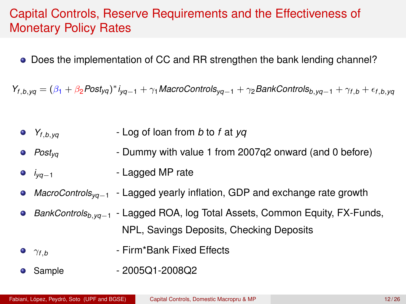### <span id="page-11-0"></span>Capital Controls, Reserve Requirements and the Effectiveness of Monetary Policy Rates

Does the implementation of CC and RR strengthen the bank lending channel?

 $Y_{f,b, yq} = (\beta_1 + \beta_2 \text{Post}_{yq})^* i_{yq-1} + \gamma_1 \text{MacroContents}_{yq-1} + \gamma_2 \text{BankContents}_{b, yq-1} + \gamma_{f,b} + \epsilon_{f,b, yq}$ 

- *Yf*,*b*,*yq* Log of loan from *b* to *f* at *yq*
- *Postyq* Dummy with value 1 from 2007q2 onward (and 0 before)
- *i<sub>vq−1</sub>* Lagged MP rate
- *MacroControlsyq*−<sup>1</sup> Lagged yearly inflation, GDP and exchange rate growth  $\bullet$
- *BankControlsb*,*yq*−<sup>1</sup> Lagged ROA, log Total Assets, Common Equity, FX-Funds,  $\bullet$ NPL, Savings Deposits, Checking Deposits
- **•**  $γ_{f.b}$  Firm\*Bank Fixed Effects
- Sample 2005Q1-2008Q2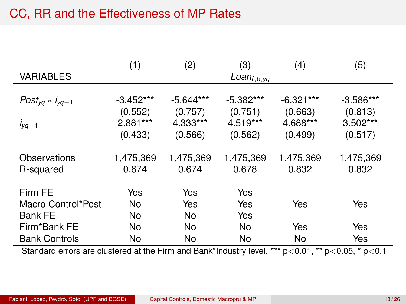### CC, RR and the Effectiveness of MP Rates

|                        | (1)         | (2)         | (3)                | (4)                      | (5)                      |
|------------------------|-------------|-------------|--------------------|--------------------------|--------------------------|
| <b>VARIABLES</b>       |             |             | Loan $_{f, b, yq}$ |                          |                          |
|                        |             |             |                    |                          |                          |
| $Post_{yq} * i_{yq-1}$ | $-3.452***$ | $-5.644***$ | $-5.382***$        | $-6.321***$              | $-3.586***$              |
|                        | (0.552)     | (0.757)     | (0.751)            | (0.663)                  | (0.813)                  |
| $i_{yq-1}$             | 2.881***    | 4.333***    | 4.519***           | 4.688***                 | $3.502***$               |
|                        | (0.433)     | (0.566)     | (0.562)            | (0.499)                  | (0.517)                  |
|                        |             |             |                    |                          |                          |
| Observations           | 1,475,369   | 1,475,369   | 1,475,369          | 1,475,369                | 1,475,369                |
| R-squared              | 0.674       | 0.674       | 0.678              | 0.832                    | 0.832                    |
|                        |             |             |                    |                          |                          |
| Firm FE                | Yes         | Yes         | Yes                |                          |                          |
| Macro Control*Post     | No          | Yes         | Yes                | Yes                      | Yes                      |
| <b>Bank FE</b>         | No          | No          | Yes                | $\overline{\phantom{a}}$ | $\overline{\phantom{a}}$ |
| Firm*Bank FE           | No          | No          | No                 | Yes                      | Yes                      |
| <b>Bank Controls</b>   | No          | No          | No                 | No                       | Yes                      |

Standard errors are clustered at the Firm and Bank\*Industry level. \*\*\*  $p<0.01$ , \*\*  $p<0.05$ , \*  $p<0.1$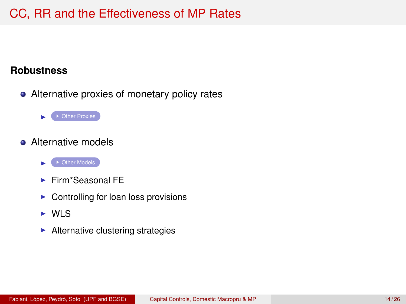### CC, RR and the Effectiveness of MP Rates

#### <span id="page-13-0"></span>**Robustness**

- Alternative proxies of monetary policy rates
	- $\triangleright$   $\bullet$  [Other Proxies](#page-31-0)
- Alternative models
	- ▶ [Other Models](#page-30-0)
	- $\blacktriangleright$  Firm\*Seasonal FF
	- $\triangleright$  Controlling for loan loss provisions
	- $\triangleright$  WIS
	- $\blacktriangleright$  Alternative clustering strategies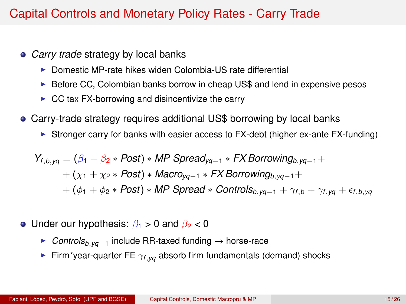### Capital Controls and Monetary Policy Rates - Carry Trade

- *Carry trade* strategy by local banks
	- $\triangleright$  Domestic MP-rate hikes widen Colombia-US rate differential
	- $\triangleright$  Before CC, Colombian banks borrow in cheap US\$ and lend in expensive pesos
	- $\triangleright$  CC tax FX-borrowing and disincentivize the carry
- Carry-trade strategy requires additional US\$ borrowing by local banks
	- In Stronger carry for banks with easier access to FX-debt (higher ex-ante FX-funding)

$$
Y_{f,b,yq} = (\beta_1 + \beta_2 * Post) * MP\text{ Spread}_{yq-1} * FX\text{ Borrowing}_{b,yq-1} ++ (\chi_1 + \chi_2 * Post) * Macro_{yq-1} * FX\text{ Borrowing}_{b,yq-1} ++ (\phi_1 + \phi_2 * Post) * MP\text{ Spread} * \text{ Controls}_{b,yq-1} + \gamma_{f,b} + \gamma_{f,yq} + \epsilon_{f,b,yq}
$$

- Under our hypothesis:  $\beta_1 > 0$  and  $\beta_2 < 0$ 
	- <sup>I</sup> *Controlsb*,*yq*−<sup>1</sup> include RR-taxed funding → horse-race
	- **Firm\*year-quarter FE**  $\gamma_{f, \nu q}$  absorb firm fundamentals (demand) shocks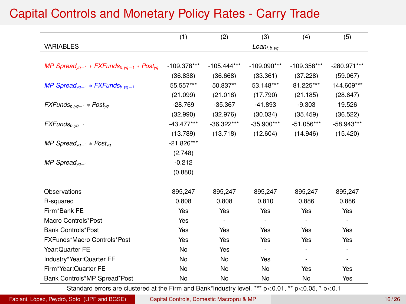# Capital Controls and Monetary Policy Rates - Carry Trade

|                                                                            | (1)           | (2)           | (3)                      | (4)                      | (5)          |
|----------------------------------------------------------------------------|---------------|---------------|--------------------------|--------------------------|--------------|
| <b>VARIABLES</b>                                                           |               |               | $Loan_{f,b, yq}$         |                          |              |
|                                                                            |               |               |                          |                          |              |
| MP Spread <sub>va-1</sub> * FXFunds <sub>b.va-1</sub> * Post <sub>va</sub> | $-109.378***$ | $-105.444***$ | $-109.090***$            | -109.358***              | -280.971***  |
|                                                                            | (36.838)      | (36.668)      | (33.361)                 | (37.228)                 | (59.067)     |
| MP Spread <sub>va-1</sub> * FXFunds <sub>b.va-1</sub>                      | 55.557***     | 50.837**      | 53.148***                | 81.225***                | 144.609***   |
|                                                                            | (21.099)      | (21.018)      | (17.790)                 | (21.185)                 | (28.647)     |
| $FXFunds_{b, vq-1} * Post_{va}$                                            | $-28.769$     | $-35.367$     | $-41.893$                | $-9.303$                 | 19.526       |
|                                                                            | (32.990)      | (32.976)      | (30.034)                 | (35.459)                 | (36.522)     |
| $FXFunds_{b, yq-1}$                                                        | $-43.477***$  | $-36.322***$  | $-35.900***$             | $-51.056***$             | $-58.943***$ |
|                                                                            | (13.789)      | (13.718)      | (12.604)                 | (14.946)                 | (15.420)     |
| MP Spread <sub>va-1</sub> * Post <sub>va</sub>                             | $-21.826***$  |               |                          |                          |              |
|                                                                            | (2.748)       |               |                          |                          |              |
| $MP$ Spread <sub>va-1</sub>                                                | $-0.212$      |               |                          |                          |              |
|                                                                            | (0.880)       |               |                          |                          |              |
| Observations                                                               | 895,247       | 895,247       | 895,247                  | 895,247                  | 895,247      |
| R-squared                                                                  | 0.808         | 0.808         | 0.810                    | 0.886                    | 0.886        |
| Firm*Bank FE                                                               | Yes           | Yes           | Yes                      | Yes                      | Yes          |
| Macro Controls*Post                                                        | Yes           | ٠             | $\frac{1}{2}$            | $\overline{\phantom{a}}$ | ٠            |
| <b>Bank Controls*Post</b>                                                  | Yes           | Yes           | Yes                      | Yes                      | Yes          |
| FXFunds*Macro Controls*Post                                                | Yes           | Yes           | Yes                      | Yes                      | Yes          |
| Year: Quarter FE                                                           | No            | Yes           | $\overline{\phantom{a}}$ | $\overline{\phantom{a}}$ | ٠            |
| Industry*Year:Quarter FE                                                   | No            | No            | Yes                      | ٠                        | ٠            |
| Firm*Year:Quarter FE                                                       | No            | No            | No                       | Yes                      | Yes          |
| Bank Controls*MP Spread*Post                                               | No            | No            | No                       | No                       | Yes          |

Standard errors are clustered at the Firm and Bank\*Industry level. \*\*\* p<0.01, \*\* p<0.05, \* p<0.1

Fabiani, López, Peydró, Soto (UPF and BGSE) [Capital Controls, Domestic Macropru & MP](#page-0-0) 16/26 16 / 26 16 / 26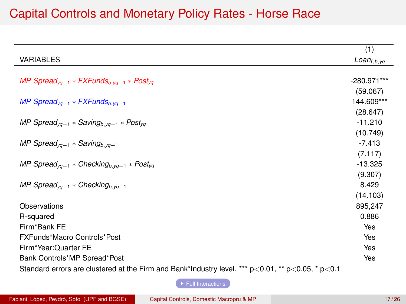### Capital Controls and Monetary Policy Rates - Horse Race

<span id="page-16-0"></span>

|                                                                             | (1)              |
|-----------------------------------------------------------------------------|------------------|
| <b>VARIABLES</b>                                                            | $Loan_{f,b, yq}$ |
|                                                                             |                  |
| MP Spread <sub>va-1</sub> * FXFunds <sub>b.va-1</sub> * Post <sub>va</sub>  | $-280.971***$    |
|                                                                             | (59.067)         |
| MP Spread <sub>yq-1</sub> * FXFunds <sub>b, yq-1</sub>                      | 144.609***       |
|                                                                             | (28.647)         |
| MP Spread <sub>va-1</sub> * Saving <sub>b.va-1</sub> * Post <sub>va</sub>   | $-11.210$        |
|                                                                             | (10.749)         |
| MP Spread <sub>va-1</sub> * Saving <sub>b.va-1</sub>                        | $-7.413$         |
|                                                                             | (7.117)          |
| MP Spread <sub>va-1</sub> * Checking <sub>b.va-1</sub> * Post <sub>va</sub> | $-13.325$        |
|                                                                             | (9.307)          |
| MP Spread <sub>va-1</sub> * Checking <sub>b.va-1</sub>                      | 8.429            |
|                                                                             | (14.103)         |
| Observations                                                                | 895,247          |
| R-squared                                                                   | 0.886            |
| Firm*Bank FE                                                                | Yes              |
| FXFunds*Macro Controls*Post                                                 | Yes              |
| Firm*Year:Quarter FE                                                        | Yes              |
| Bank Controls*MP Spread*Post                                                | Yes              |

Standard errors are clustered at the Firm and Bank\*Industry level. \*\*\*  $p<0.01$ , \*\*  $p<0.05$ , \*  $p<0.1$ 

 $\blacktriangleright$  [Full Interactions](#page-32-0)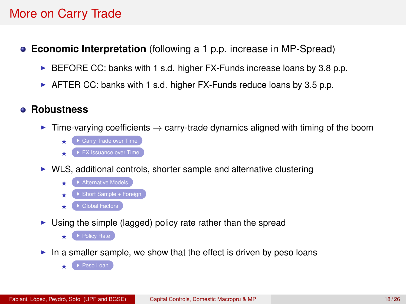# More on Carry Trade

- <span id="page-17-0"></span>**Economic Interpretation** (following a 1 p.p. increase in MP-Spread)
	- $\triangleright$  BEFORE CC: banks with 1 s.d. higher FX-Funds increase loans by 3.8 p.p.
	- $\triangleright$  AFTER CC: banks with 1 s.d. higher FX-Funds reduce loans by 3.5 p.p.

### **Robustness**

- **F** Time-varying coefficients  $\rightarrow$  carry-trade dynamics aligned with timing of the boom
	- $\triangleright$  [Carry Trade over Time](#page-40-0)
	- $\rightarrow$  [FX Issuance over Time](#page-41-0)
- $\triangleright$  WLS, additional controls, shorter sample and alternative clustering
	-
	-
	- $\blacktriangleright$  [Global Factors](#page-37-0)
- $\triangleright$  Using the simple (lagged) policy rate rather than the spread
	- $\star$  [Policy Rate](#page-34-0)
- $\blacktriangleright$  In a smaller sample, we show that the effect is driven by peso loans
	- [Peso Loan](#page-35-0)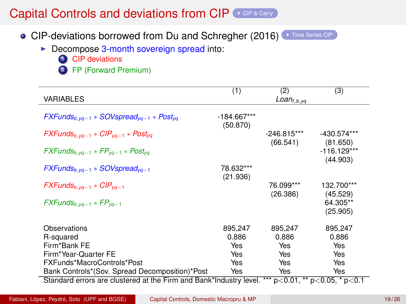### Capital Controls and deviations from  $\text{CIP} \left( \rightarrow \text{CIP R Cary} \right)$

- <span id="page-18-0"></span>• CIP-deviations borrowed from Du and Schregher (2016) [Time Series CIP](#page-38-0)
	- $\triangleright$  Decompose 3-month sovereign spread into:
		- **1** CIP deviations
		- 2 FP (Forward Premium)

|                                                                    | (1)                       | (2)                       | (3)                                    |
|--------------------------------------------------------------------|---------------------------|---------------------------|----------------------------------------|
| <b>VARIABLES</b>                                                   |                           | $Loan_{f,b,yq}$           |                                        |
| $FXFunds_{b,va-1} * SOV spread_{va-1} * Post_{va}$                 | $-184.667***$<br>(50.870) |                           |                                        |
| $FXFunds_{b,va-1} * CIP_{va-1} * Post_{va}$                        |                           | $-246.815***$<br>(66.541) | $-430.574***$<br>(81.650)              |
| $FXFunds_{b, vq-1} * FP_{vq-1} * Post_{va}$                        |                           |                           | $-116.129***$<br>(44.903)              |
| $FXFunds_{b, vq-1} * SOVspread_{vq-1}$                             | 78.632***<br>(21.936)     |                           |                                        |
| $FXFunds_{b, vq-1} * CIP_{vq-1}$                                   |                           | 76.099***<br>(26.386)     | 132.700***<br>(45.529)                 |
| $FXFunds_{b,va-1} * FP_{va-1}$                                     |                           |                           | 64.305**<br>(25.905)                   |
| Observations                                                       | 895,247                   | 895,247                   | 895,247                                |
| R-squared                                                          | 0.886                     | 0.886                     | 0.886                                  |
| Firm*Bank FE                                                       | Yes                       | Yes                       | Yes                                    |
| Firm*Year-Quarter FE                                               | Yes                       | Yes                       | Yes                                    |
| FXFunds*MacroControls*Post                                         | Yes                       | Yes                       | Yes                                    |
| Bank Controls*(Sov. Spread Decomposition)*Post                     | Yes                       | Yes                       | Yes                                    |
| Standard errors are clustered at the Firm and Bank*Industry level. |                           |                           | *** $p<0.01$ , ** $p<0.05$ , * $p<0.1$ |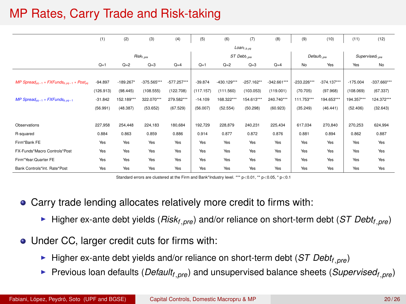# MP Rates, Carry Trade and Risk-taking

|                                                                            | (1)                | (2)        | (3)         | (4)        | (5)                      | (6)                      | (7)         | (8)        | (9)                     | (10)       | (11)                       | (12)          |
|----------------------------------------------------------------------------|--------------------|------------|-------------|------------|--------------------------|--------------------------|-------------|------------|-------------------------|------------|----------------------------|---------------|
|                                                                            |                    |            |             |            | Loan <sub>f, b, yq</sub> |                          |             |            |                         |            |                            |               |
|                                                                            | $Risk_{f, \rho w}$ |            |             |            |                          | ST Debt <sub>r.pre</sub> |             |            | Default <sub>i.ow</sub> |            | Supervised <sub>1.cm</sub> |               |
|                                                                            | $Q=1$              | $Q=2$      | $Q=3$       | $Q=4$      | $Q=1$                    | $Q=2$                    | $Q=3$       | $Q=4$      | No                      | Yes        | Yes                        | No            |
|                                                                            |                    |            |             |            |                          |                          |             |            |                         |            |                            |               |
| MP Spread <sub>yq-1</sub> * FXFunds <sub>b.yq-1</sub> * Post <sub>yq</sub> | $-94.897$          | $-189.267$ | -375.565*** | $-577.257$ | $-39.874$                | $-430.129***$            | $-257.162"$ | $-342.661$ | $-233.226$ ***          | $-374.137$ | $-175.004$                 | $-337.660***$ |
|                                                                            | (126.913)          | (98.445)   | (108.555)   | (122.708)  | (117.157)                | (111.560)                | (103.053)   | (119.001)  | (70.705)                | (97.968)   | (108.069)                  | (67.337)      |
| MP Spread <sub>vo-1</sub> $*$ FXFunds <sub>b, vo-1</sub>                   | $-31.842$          | 152.189*** | 322.070***  | 279.582*** | $-14.109$                | 168.322***               | 154.613***  | 240.740*** | 111.753***              | 194.653*** | 194.357***                 | 124.372***    |
|                                                                            | (56.991)           | (48.387)   | (53.652)    | (67.529)   | (56.007)                 | (52.554)                 | (50.298)    | (60.923)   | (35.249)                | (46.441)   | (52.406)                   | (32.643)      |
|                                                                            |                    |            |             |            |                          |                          |             |            |                         |            |                            |               |
| Observations                                                               | 227,958            | 254,448    | 224,183     | 180,684    | 192,729                  | 228,879                  | 240,231     | 225,434    | 617,034                 | 270,840    | 270,253                    | 624,994       |
| R-squared                                                                  | 0.884              | 0.863      | 0.859       | 0.886      | 0.914                    | 0.877                    | 0.872       | 0.876      | 0.881                   | 0.894      | 0.862                      | 0.887         |
| Firm*Bank FE                                                               | Yes                | Yes        | Yes         | Yes        | Yes                      | Yes                      | Yes         | Yes        | Yes                     | Yes        | Yes                        | Yes           |
| FX-Funds*Macro Controls*Post                                               | Yes                | Yes        | Yes         | Yes        | Yes                      | Yes                      | Yes         | Yes        | Yes                     | Yes        | Yes                        | Yes           |
| Firm*Year:Quarter FE                                                       | Yes                | Yes        | Yes         | Yes        | Yes                      | Yes                      | Yes         | Yes        | Yes                     | Yes        | Yes                        | Yes           |
| Bank Controls*Int. Rate*Post                                               | Yes                | Yes        | Yes         | Yes        | Yes                      | Yes                      | Yes         | Yes        | Yes                     | Yes        | Yes                        | Yes           |

Standard errors are clustered at the Firm and Bank\*Industry level. \*\*\* p<0.01, \*\* p<0.05, \* p<0.1

- Carry trade lending allocates relatively more credit to firms with:
	- $\blacktriangleright$  Higher ex-ante debt yields (*Riskf*,*pre*) and/or reliance on short-term debt (*ST Debt<sub>f, pre</sub>*)
- Under CC, larger credit cuts for firms with:
	- $\blacktriangleright$  Higher ex-ante debt yields and/or reliance on short-term debt (*ST Debt<sub>f, pre</sub>*)
	- **Previous loan defaults (***Default<sub>f, pre</sub>***) and unsupervised balance sheets (***Supervised<sub>f, pre</sub>***)**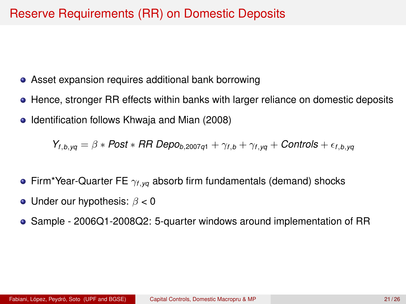### <span id="page-20-0"></span>Reserve Requirements (RR) on Domestic Deposits

- Asset expansion requires additional bank borrowing
- Hence, stronger RR effects within banks with larger reliance on domestic deposits
- Identification follows Khwaja and Mian (2008)

 $Y_{f.b.va} = \beta * Post * RR Depo_{b,2007q1} + \gamma_{f,b} + \gamma_{f,yq} +$  *Controls* +  $\epsilon_{f,b,yq}$ 

- Firm\*Year-Quarter FE γ*f*,*yq* absorb firm fundamentals (demand) shocks
- Under our hypothesis:  $\beta$  < 0
- Sample 2006Q1-2008Q2: 5-quarter windows around implementation of RR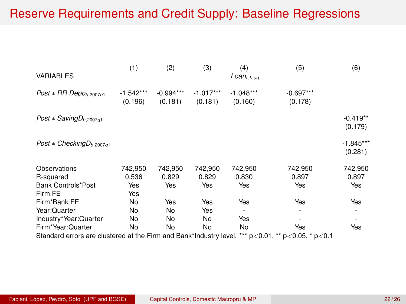# Reserve Requirements and Credit Supply: Baseline Regressions

|                                      | (1)         | (2)         | (3)         | (4)               | (5)         | (6)         |
|--------------------------------------|-------------|-------------|-------------|-------------------|-------------|-------------|
| <b>VARIABLES</b>                     |             |             |             | $Loan_{f, b, yq}$ |             |             |
|                                      |             |             |             |                   |             |             |
| Post $*$ RR Depo <sub>b,2007q1</sub> | $-1.542***$ | $-0.994***$ | $-1.017***$ | $-1.048***$       | $-0.697***$ |             |
|                                      | (0.196)     | (0.181)     | (0.181)     | (0.160)           | (0.178)     |             |
|                                      |             |             |             |                   |             |             |
| Post $*$ Saving $D_{b,2007q1}$       |             |             |             |                   |             | $-0.419**$  |
|                                      |             |             |             |                   |             | (0.179)     |
| Post $*$ Checking $D_{b,2007q1}$     |             |             |             |                   |             | $-1.845***$ |
|                                      |             |             |             |                   |             | (0.281)     |
|                                      |             |             |             |                   |             |             |
| Observations                         | 742.950     | 742.950     | 742.950     | 742.950           | 742.950     | 742,950     |
| R-squared                            | 0.536       | 0.829       | 0.829       | 0.830             | 0.897       | 0.897       |
| Bank Controls*Post                   | Yes         | Yes         | Yes         | Yes               | Yes         | Yes         |
| Firm FE                              | Yes         | ٠           | ٠           | ٠                 | ٠           |             |
| Firm*Bank FE                         | No          | Yes         | Yes         | Yes               | Yes         | Yes         |
| Year: Quarter                        | No          | No          | Yes         | ٠                 | ٠           | ٠           |
| Industry*Year:Quarter                | No          | No          | No.         | Yes               | ٠           |             |
| Firm*Year:Quarter                    | No          | No          | No          | No                | Yes         | Yes         |

Standard errors are clustered at the Firm and Bank\*Industry level. \*\*\*  $p<0.01$ , \*\*  $p<0.05$ , \*  $p<0.1$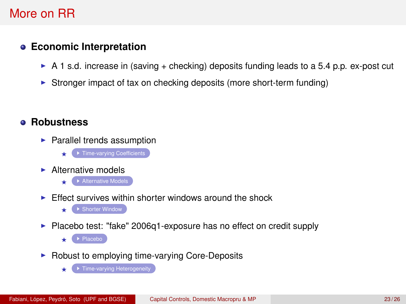### More on RR

### <span id="page-22-0"></span>**Economic Interpretation**

- $\triangleright$  A 1 s.d. increase in (saving + checking) deposits funding leads to a 5.4 p.p. ex-post cut
- $\triangleright$  Stronger impact of tax on checking deposits (more short-term funding)

### **Robustness**

- $\blacktriangleright$  Parallel trends assumption
	- $\leftarrow$  [Time-varying Coefficients](#page-47-0)
- $\blacktriangleright$  Alternative models
	- $\blacktriangleright$  [Alternative Models](#page-46-0)
- $\blacktriangleright$  Effect survives within shorter windows around the shock
	- $\cdot$  [Shorter Window](#page-44-0)
- $\blacktriangleright$  Placebo test: "fake" 2006q1-exposure has no effect on credit supply
	- $\star$  (  $\star$  [Placebo](#page-45-0) )
- $\triangleright$  Robust to employing time-varying Core-Deposits

 $\blacktriangleright$  [Time-varying Heterogeneity](#page-42-0)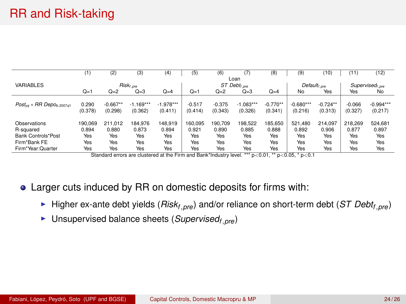|                                           | (1)     | (2)        | (3)                                                                                                           | (4)         | (5)      | (6)      | 7)                       | (8)        | (9)                      | (10)       | (11)     | (12)                       |
|-------------------------------------------|---------|------------|---------------------------------------------------------------------------------------------------------------|-------------|----------|----------|--------------------------|------------|--------------------------|------------|----------|----------------------------|
|                                           |         |            |                                                                                                               |             |          |          | Loan                     |            |                          |            |          |                            |
| <b>VARIABLES</b>                          |         |            | $Risk_{f,ore}$                                                                                                |             |          |          | ST Debt <sub>t.pre</sub> |            | Default <sub>f.pre</sub> |            |          | Supervised <sub>Lore</sub> |
|                                           | $Q=1$   | $Q=2$      | $Q=3$                                                                                                         | $Q=4$       | $Q=1$    | $Q=2$    | $Q=3$                    | $Q=4$      | No                       | Yes        | Yes      | No                         |
|                                           |         |            |                                                                                                               |             |          |          |                          |            |                          |            |          |                            |
| $Post_{va} * RR$ Depo <sub>b.2007a1</sub> | 0.290   | $-0.667**$ | $-1.169***$                                                                                                   | $-1.978***$ | $-0.517$ | $-0.375$ | $-1.083***$              | $-0.770**$ | $-0.680***$              | $-0.724**$ | $-0.066$ | $-0.994***$                |
|                                           | (0.378) | (0.298)    | (0.362)                                                                                                       | (0.411)     | (0.414)  | (0.343)  | (0.326)                  | (0.341)    | (0.216)                  | (0.313)    | (0.327)  | (0.217)                    |
|                                           |         |            |                                                                                                               |             |          |          |                          |            |                          |            |          |                            |
| Observations                              | 190.069 | 211.012    | 184.976                                                                                                       | 148.919     | 160.095  | 190.709  | 198.522                  | 185.650    | 521.480                  | 214.097    | 218,269  | 524.681                    |
| R-squared                                 | 0.894   | 0.880      | 0.873                                                                                                         | 0.894       | 0.921    | 0.890    | 0.885                    | 0.888      | 0.892                    | 0.906      | 0.877    | 0.897                      |
| Bank Controls*Post                        | Yes     | Yes        | Yes                                                                                                           | Yes         | Yes      | Yes      | Yes                      | Yes        | Yes                      | Yes        | Yes      | Yes                        |
| Firm*Bank FE                              | Yes     | Yes        | Yes                                                                                                           | Yes         | Yes      | Yes      | Yes                      | Yes        | Yes                      | Yes        | Yes      | Yes                        |
| Firm*Year:Quarter                         | Yes     | Yes        | Yes                                                                                                           | Yes         | Yes      | Yes      | Yes                      | Yes        | Yes                      | Yes        | Yes      | Yes                        |
|                                           |         |            | Chanderd course you shortcoard at the Floor and Davidthedcotoclass films that a so Od that so OC that so that |             |          |          |                          |            |                          |            |          |                            |

Standard errors are clustered at the Firm and Bank\*Industry level. \*\*\* p<0.01, \*\* p<0.05, \* p<sup>&</sup>lt;0.1

- Larger cuts induced by RR on domestic deposits for firms with:
	- ▶ Higher ex-ante debt yields (*Risk<sub>f.pre</sub>*) and/or reliance on short-term debt (*ST Debt<sub>f.pre</sub>*)
	- ▶ Unsupervised balance sheets (*Supervised<sub>f,pre</sub>*)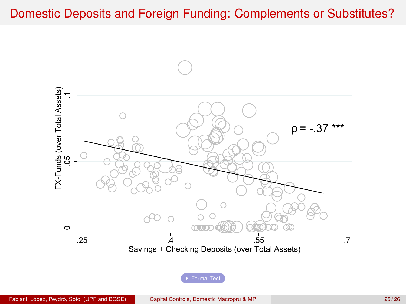### <span id="page-24-1"></span><span id="page-24-0"></span>Domestic Deposits and Foreign Funding: Complements or Substitutes?



[Formal Test](#page-43-0)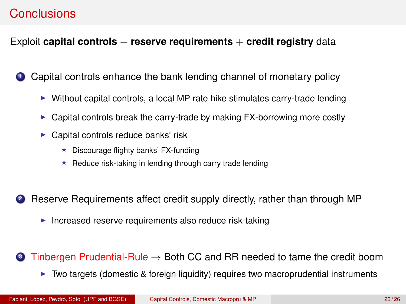### <span id="page-25-0"></span>**Conclusions**

### Exploit **capital controls** + **reserve requirements** + **credit registry** data

<sup>1</sup> Capital controls enhance the bank lending channel of monetary policy

- $\triangleright$  Without capital controls, a local MP rate hike stimulates carry-trade lending
- $\triangleright$  Capital controls break the carry-trade by making FX-borrowing more costly
- $\blacktriangleright$  Capital controls reduce banks' risk
	- $\star$  Discourage flighty banks' FX-funding
	- $\star$  Reduce risk-taking in lending through carry trade lending
- **2** Reserve Requirements affect credit supply directly, rather than through MP
	- Increased reserve requirements also reduce risk-taking
- **3** Tinbergen Prudential-Rule  $\rightarrow$  Both CC and RR needed to tame the credit boom
	- $\triangleright$  Two targets (domestic & foreign liquidity) requires two macroprudential instruments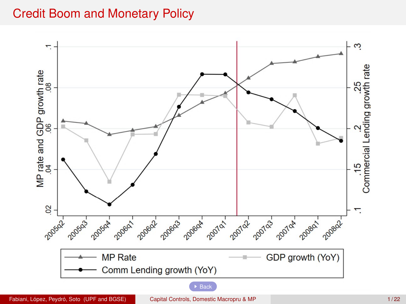### Credit Boom and Monetary Policy

<span id="page-26-0"></span>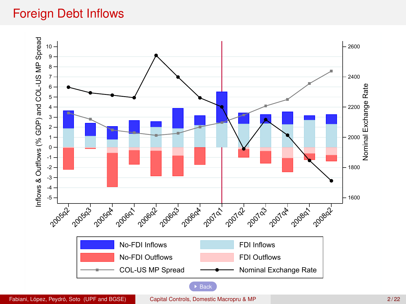## Foreign Debt Inflows

<span id="page-27-0"></span>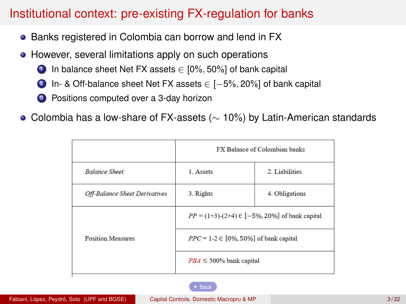### Institutional context: pre-existing FX-regulation for banks

- <span id="page-28-0"></span>• Banks registered in Colombia can borrow and lend in FX
- However, several limitations apply on such operations
	- $\bigcirc$  In balance sheet Net FX assets  $\in$  [0%, 50%] of bank capital
	- 2 In- & Off-balance sheet Net FX assets ∈ [-5%, 20%] of bank capital
	- <sup>3</sup> Positions computed over a 3-day horizon
- Colombia has a low-share of FX-assets (∼ 10%) by Latin-American standards

|                               | FX Balance of Colombian banks                            |                |  |  |  |  |
|-------------------------------|----------------------------------------------------------|----------------|--|--|--|--|
| <b>Balance Sheet</b>          | 1. Assets                                                | 2. Liabilities |  |  |  |  |
| Off-Balance Sheet Derivatives | 3. Rights                                                | 4. Obligations |  |  |  |  |
|                               | $PP = (1+3)$ - $(2+4) \in [-5\% , 20\%]$ of bank capital |                |  |  |  |  |
| <b>Position Measures</b>      | $PPC = 1-2 \in [0\%, 50\%]$ of bank capital              |                |  |  |  |  |
|                               | $PBA \leq 500\%$ bank capital                            |                |  |  |  |  |

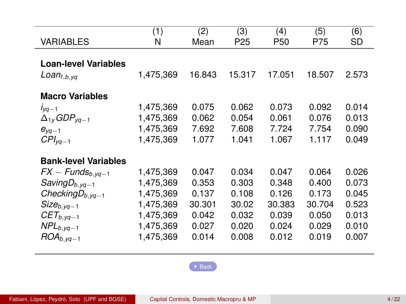<span id="page-29-0"></span>

|                             | (1)       | (2)    | (3)    | $\left( 4\right)$ | (5)    | (6)   |
|-----------------------------|-----------|--------|--------|-------------------|--------|-------|
| <b>VARIABLES</b>            | Ν         | Mean   | P25    | P <sub>50</sub>   | P75    | SD    |
|                             |           |        |        |                   |        |       |
| <b>Loan-level Variables</b> |           |        |        |                   |        |       |
| $Loan_{f,b,yq}$             | 1,475,369 | 16.843 | 15.317 | 17.051            | 18.507 | 2.573 |
|                             |           |        |        |                   |        |       |
| <b>Macro Variables</b>      |           |        |        |                   |        |       |
| $I_{VQ-1}$                  | 1,475,369 | 0.075  | 0.062  | 0.073             | 0.092  | 0.014 |
| $\Delta_{1v}GDP_{va-1}$     | 1,475,369 | 0.062  | 0.054  | 0.061             | 0.076  | 0.013 |
| $e_{\nu q-1}$               | 1,475,369 | 7.692  | 7.608  | 7.724             | 7.754  | 0.090 |
| $CPI_{va-1}$                | 1,475,369 | 1.077  | 1.041  | 1.067             | 1.117  | 0.049 |
|                             |           |        |        |                   |        |       |
| <b>Bank-level Variables</b> |           |        |        |                   |        |       |
| $FX - Funds_{b, yq-1}$      | 1,475,369 | 0.047  | 0.034  | 0.047             | 0.064  | 0.026 |
| Saving $D_{b, yq-1}$        | 1,475,369 | 0.353  | 0.303  | 0.348             | 0.400  | 0.073 |
| Checking $D_{b, yq-1}$      | 1,475,369 | 0.137  | 0.108  | 0.126             | 0.173  | 0.045 |
| $Size_{b, yq-1}$            | 1,475,369 | 30.301 | 30.02  | 30.383            | 30.704 | 0.523 |
| $CET_{b, yq-1}$             | 1,475,369 | 0.042  | 0.032  | 0.039             | 0.050  | 0.013 |
| $NPL_{b, yq-1}$             | 1,475,369 | 0.027  | 0.020  | 0.024             | 0.029  | 0.010 |
| $ROA_{b, yq-1}$             | 1,475,369 | 0.014  | 0.008  | 0.012             | 0.019  | 0.007 |

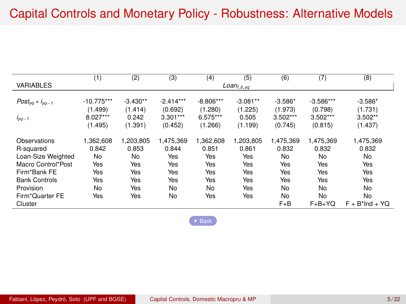<span id="page-30-0"></span>

|                        | (1)          | (2)        | (3)         | (4)         | (5)              | (6)       | (7)          | (8)                |
|------------------------|--------------|------------|-------------|-------------|------------------|-----------|--------------|--------------------|
| <b>VARIABLES</b>       |              |            |             |             | $Loan_{f,b, yq}$ |           |              |                    |
|                        |              |            |             |             |                  |           |              |                    |
| $Post_{Vq} * i_{Vq-1}$ | $-10.775***$ | $-3.430**$ | $-2.414***$ | $-8.806***$ | $-3.081**$       | $-3.586*$ | $-3.586***$  | $-3.586*$          |
|                        | (1.499)      | (1.414)    | (0.692)     | (1.280)     | (1.225)          | (1.973)   | (0.798)      | (1.731)            |
| $I_{VQ-1}$             | 8.027***     | 0.242      | $3.301***$  | 6.575***    | 0.505            | 3.502***  | $3.502***$   | $3.502**$          |
|                        | (1.495)      | (1.391)    | (0.452)     | (1.266)     | (1.199)          | (0.745)   | (0.815)      | (1.437)            |
| Observations           | 1,362,608    | 1,203,805  | 1,475,369   | 1,362,608   | 1,203,805        | 1,475,369 | 1,475,369    | 1,475,369          |
| R-squared              | 0.842        | 0.853      | 0.844       | 0.851       | 0.861            | 0.832     | 0.832        | 0.832              |
| Loan-Size Weighted     | No           | No         | Yes         | Yes         | Yes              | No        | No           | No                 |
| Macro Control*Post     | Yes          | Yes        | Yes         | Yes         | Yes              | Yes       | Yes          | Yes                |
| Firm*Bank FE           | Yes          | Yes        | Yes         | Yes         | Yes              | Yes       | Yes          | Yes                |
| <b>Bank Controls</b>   | Yes          | Yes        | Yes         | Yes         | Yes              | Yes       | Yes          | Yes                |
| Provision              | No           | Yes        | No          | No          | Yes              | No        | No           | No                 |
| Firm*Quarter FE        | Yes          | Yes        | No          | Yes         | Yes              | No        | No           | No                 |
| Cluster                |              |            |             |             |                  | $F + B$   | $F + B + YQ$ | $F + B^*$ Ind + YQ |

 $\rightarrow$  [Back](#page-13-0)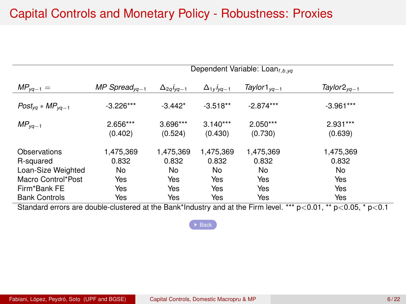### Capital Controls and Monetary Policy - Robustness: Proxies

<span id="page-31-0"></span>

|                           | Dependent Variable: Loan <sub>f.b.va</sub> |                       |                          |                          |                          |  |  |  |
|---------------------------|--------------------------------------------|-----------------------|--------------------------|--------------------------|--------------------------|--|--|--|
| $MP_{va-1} =$             | MP Spread <sub>va-1</sub>                  | $\Delta_{2q}i_{pq-1}$ | $\Delta_{1y}$ $i_{yq-1}$ | Taylor1 $_{\text{va}-1}$ | Taylor $2_{\text{va}-1}$ |  |  |  |
| $Post_{Vq} * MP_{Vq-1}$   | $-3.226***$                                | $-3.442*$             | $-3.518**$               | $-2.874***$              | $-3.961***$              |  |  |  |
| $MP_{va-1}$               | 2.656***<br>(0.402)                        | 3.696***<br>(0.524)   | $3.140***$<br>(0.430)    | 2.050***<br>(0.730)      | 2.931***<br>(0.639)      |  |  |  |
| Observations<br>R-squared | 1,475,369<br>0.832                         | 1,475,369<br>0.832    | 1,475,369<br>0.832       | 1,475,369<br>0.832       | 1,475,369<br>0.832       |  |  |  |
| Loan-Size Weighted        | No.                                        | No                    | No                       | No                       | No                       |  |  |  |
| Macro Control*Post        | Yes                                        | Yes                   | Yes                      | Yes                      | Yes                      |  |  |  |
| Firm*Bank FE              | Yes                                        | Yes                   | Yes                      | Yes                      | Yes                      |  |  |  |
| <b>Bank Controls</b>      | Yes                                        | Yes                   | Yes                      | Yes                      | Yes                      |  |  |  |

Standard errors are double-clustered at the Bank\*Industry and at the Firm level. \*\*\* p<0.01, \*\* p<0.05, \* p<0.1

 $\rightarrow$  [Back](#page-13-0)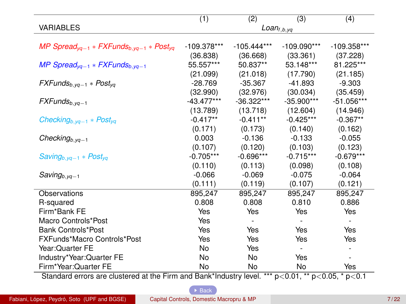<span id="page-32-0"></span>

|                                                                                                      | (1)           | (2)           | (3)             | (4)           |
|------------------------------------------------------------------------------------------------------|---------------|---------------|-----------------|---------------|
| <b>VARIABLES</b>                                                                                     |               |               | $Loan_{f,b,yq}$ |               |
|                                                                                                      |               |               |                 |               |
| MP Spread <sub>va-1</sub> * FXFunds <sub>b.va-1</sub> * Post <sub>va</sub>                           | $-109.378***$ | $-105.444***$ | $-109.090***$   | $-109.358***$ |
|                                                                                                      | (36.838)      | (36.668)      | (33.361)        | (37.228)      |
| MP Spread <sub>va-1</sub> * FXFunds <sub>b.va-1</sub>                                                | 55.557***     | 50.837**      | 53.148***       | 81.225***     |
|                                                                                                      | (21.099)      | (21.018)      | (17.790)        | (21.185)      |
| $FXFunds_{b, yq-1} * Post_{yq}$                                                                      | $-28.769$     | $-35.367$     | $-41.893$       | $-9.303$      |
|                                                                                                      | (32.990)      | (32.976)      | (30.034)        | (35.459)      |
| $FXFunds_{b, vq-1}$                                                                                  | $-43.477***$  | $-36.322***$  | $-35.900***$    | $-51.056***$  |
|                                                                                                      | (13.789)      | (13.718)      | (12.604)        | (14.946)      |
| Checking <sub>b,yq-1</sub> * Post <sub>yq</sub>                                                      | $-0.417**$    | $-0.411**$    | $-0.425***$     | $-0.367**$    |
|                                                                                                      | (0.171)       | (0.173)       | (0.140)         | (0.162)       |
| Checking <sub>b,yq-1</sub>                                                                           | 0.003         | $-0.136$      | $-0.133$        | $-0.055$      |
|                                                                                                      | (0.107)       | (0.120)       | (0.103)         | (0.123)       |
| $Saving_{b, vq-1} * Post_{va}$                                                                       | $-0.705***$   | $-0.696***$   | $-0.715***$     | $-0.679***$   |
|                                                                                                      | (0.110)       | (0.113)       | (0.098)         | (0.108)       |
| $Saving_{b, yq-1}$                                                                                   | $-0.066$      | $-0.069$      | $-0.075$        | $-0.064$      |
|                                                                                                      | (0.111)       | (0.119)       | (0.107)         | (0.121)       |
| Observations                                                                                         | 895,247       | 895,247       | 895,247         | 895,247       |
| R-squared                                                                                            | 0.808         | 0.808         | 0.810           | 0.886         |
| Firm*Bank FE                                                                                         | Yes           | Yes           | Yes             | Yes           |
| Macro Controls*Post                                                                                  | Yes           |               |                 |               |
| <b>Bank Controls*Post</b>                                                                            | Yes           | Yes           | Yes             | Yes           |
| FXFunds*Macro Controls*Post                                                                          | Yes           | Yes           | Yes             | Yes           |
| Year: Quarter FE                                                                                     | No            | Yes           | ÷.              |               |
| Industry*Year:Quarter FE                                                                             | No            | No            | Yes             | ٠             |
| Firm*Year:Quarter FE                                                                                 | No            | No            | No              | Yes           |
| Standard orrors are olustered at the Firm and Rapk*Industry lovel *** p < 0.01 ** p < 0.05 * p < 0.1 |               |               |                 |               |

Standard errors are clustered at the Firm and Bank\*Industry level. \*\*\* p<0.01, \*\* p<0.05, \* p<0.1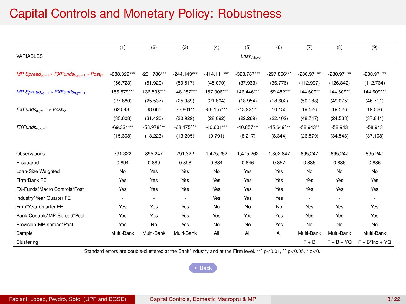# Capital Controls and Monetary Policy: Robustness

<span id="page-33-0"></span>

|                                                                            | (1)           | (2)           | (3)           | (4)           | (5)                 | (6)           | (7)          | (8)          | (9)               |
|----------------------------------------------------------------------------|---------------|---------------|---------------|---------------|---------------------|---------------|--------------|--------------|-------------------|
| VARIABLES                                                                  |               |               |               |               | $L$ oan $_{f,b,yq}$ |               |              |              |                   |
|                                                                            |               |               |               |               |                     |               |              |              |                   |
| MP Spread <sub>va-1</sub> * FXFunds <sub>b.va-1</sub> * Post <sub>va</sub> | $-288.329***$ | $-231.786***$ | $-244.143***$ | $-414.111***$ | -328.787***         | $-297.866***$ | $-280.971**$ | $-280.971**$ | $-280.971**$      |
|                                                                            | (56.723)      | (51.920)      | (50.517)      | (45.070)      | (37.933)            | (36.776)      | (112.997)    | (126.842)    | (112.734)         |
| MP Spread <sub>va-1</sub> * FXFunds <sub>b.va-1</sub>                      | 156.579***    | 136.535***    | 148.287***    | 157.006***    | 146.446***          | 159.482***    | 144.609**    | 144.609**    | 144.609***        |
|                                                                            | (27.880)      | (25.537)      | (25.089)      | (21.804)      | (18.954)            | (18.602)      | (50.188)     | (49.075)     | (46.711)          |
| $FXFunds_{b, yq-1} * Post_{yq}$                                            | 62.843*       | 38.665        | 73.801**      | $-86.157***$  | $-43.921**$         | 10.150        | 19.526       | 19.526       | 19.526            |
|                                                                            | (35.608)      | (31.420)      | (30.929)      | (28.092)      | (22.269)            | (22.102)      | (48.747)     | (24.538)     | (37.841)          |
| $FXFunds_{b, yq-1}$                                                        | $-69.324***$  | $-58.978***$  | $-68.475***$  | $-40.601***$  | $-40.857***$        | $-45.649***$  | $-58.943**$  | $-58.943$    | $-58.943$         |
|                                                                            | (15.308)      | (13.223)      | (13.205)      | (9.791)       | (8.217)             | (8.344)       | (26.579)     | (34.548)     | (37.108)          |
|                                                                            |               |               |               |               |                     |               |              |              |                   |
| Observations                                                               | 791,322       | 895.247       | 791.322       | 1.475.262     | 1.475.262           | 1.302.847     | 895.247      | 895.247      | 895.247           |
| R-squared                                                                  | 0.894         | 0.889         | 0.898         | 0.834         | 0.846               | 0.857         | 0.886        | 0.886        | 0.886             |
| Loan-Size Weighted                                                         | No            | Yes           | Yes           | No            | Yes                 | Yes           | No           | No           | No                |
| Firm*Bank FE                                                               | Yes           | Yes           | Yes           | Yes           | Yes                 | Yes           | Yes          | Yes          | Yes               |
| FX-Funds*Macro Controls*Post                                               | Yes           | Yes           | Yes           | Yes           | Yes                 | Yes           | Yes          | Yes          | Yes               |
| Industry*Year:Quarter FE                                                   | ٠             | ٠             | ٠             | Yes           | Yes                 | Yes           |              |              |                   |
| Firm*Year:Quarter FE                                                       | Yes           | Yes           | Yes           | No            | No                  | No            | Yes          | Yes          | Yes               |
| Bank Controls*MP-Spread*Post                                               | Yes           | Yes           | Yes           | Yes           | Yes                 | Yes           | Yes          | Yes          | Yes               |
| Provision*MP-spread*Post                                                   | Yes           | No            | Yes           | No            | No                  | Yes           | No           | No           | No                |
| Sample                                                                     | Multi-Bank    | Multi-Bank    | Multi-Bank    | All           | All                 | All           | Multi-Bank   | Multi-Bank   | Multi-Bank        |
| Clustering                                                                 |               |               |               |               |                     |               | $F + B$      | $F + B + YQ$ | $F + B^*Ind + YQ$ |

Standard errors are double-clustered at the Bank\*Industry and at the Firm level. \*\*\* p<0.01, \*\* p<0.05, \* p<0.1

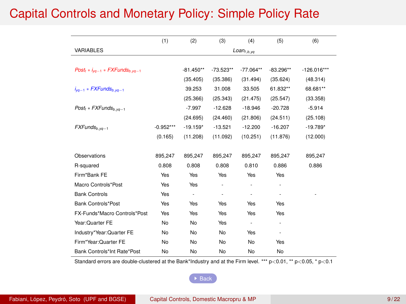### <span id="page-34-0"></span>Capital Controls and Monetary Policy: Simple Policy Rate

|                                                            | (1)         | (2)                      | (3)                      | (4)                      | (5)         | (6)           |
|------------------------------------------------------------|-------------|--------------------------|--------------------------|--------------------------|-------------|---------------|
| <b>VARIABLES</b>                                           |             |                          |                          | $Loan_{t.b.yq}$          |             |               |
|                                                            |             |                          |                          |                          |             |               |
| Post <sub>t</sub> * $i_{va-1}$ * FXFunds <sub>b.va-1</sub> |             | $-81.450**$              | $-73.523**$              | $-77.064**$              | $-83.296**$ | $-126.016***$ |
|                                                            |             | (35.405)                 | (35.386)                 | (31.494)                 | (35.624)    | (48.314)      |
| $i_{va-1}$ * FXFunds <sub>b.va-1</sub>                     |             | 39.253                   | 31,008                   | 33.505                   | 61.832**    | 68.681**      |
|                                                            |             | (25.366)                 | (25.343)                 | (21.475)                 | (25.547)    | (33.358)      |
| $Postt * FXFundsb.wa-1$                                    |             | $-7.997$                 | $-12.628$                | $-18.946$                | $-20.728$   | $-5.914$      |
|                                                            |             | (24.695)                 | (24.460)                 | (21.806)                 | (24.511)    | (25.108)      |
| $FXFunds_{b, yq-1}$                                        | $-0.952***$ | $-19.159*$               | $-13.521$                | $-12.200$                | $-16.207$   | $-19.789*$    |
|                                                            | (0.165)     | (11.208)                 | (11.092)                 | (10.251)                 | (11.876)    | (12.000)      |
|                                                            |             |                          |                          |                          |             |               |
| Observations                                               | 895.247     | 895.247                  | 895.247                  | 895.247                  | 895.247     | 895,247       |
| R-squared                                                  | 0.808       | 0.808                    | 0.808                    | 0.810                    | 0.886       | 0.886         |
| Firm*Bank FF                                               | Yes         | Yes                      | Yes                      | Yes                      | Yes         |               |
| Macro Controls*Post                                        | Yes         | Yes                      | ä,                       | ×,                       | ۰           |               |
| <b>Bank Controls</b>                                       | Yes         | $\overline{\phantom{a}}$ | $\overline{\phantom{a}}$ | ٠                        | ٠           |               |
| <b>Bank Controls*Post</b>                                  | Yes         | Yes                      | Yes                      | Yes                      | Yes         |               |
| FX-Funds*Macro Controls*Post                               | Yes         | Yes                      | Yes                      | Yes                      | Yes         |               |
| Year: Quarter FE                                           | No          | No                       | Yes                      | $\overline{\phantom{a}}$ | ٠           |               |
| Industry*Year:Quarter FE                                   | No          | No                       | No                       | Yes                      | ٠           |               |
| Firm*Year:Quarter FE                                       | No          | No                       | No                       | No                       | Yes         |               |
| Bank Controls*Int Rate*Post                                | No          | No                       | No                       | No                       | No          |               |

Standard errors are double-clustered at the Bank\*Industry and at the Firm level. \*\*\* p<0.01, \*\* p<0.05, \* p<0.1

 $\triangleright$  [Back](#page-17-0)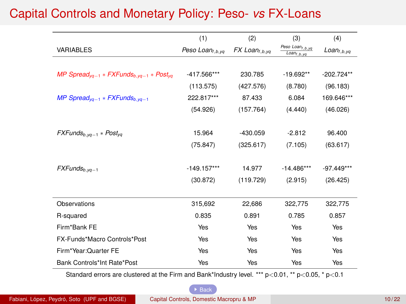# <span id="page-35-0"></span>Capital Controls and Monetary Policy: Peso- *vs* FX-Loans

|                                                                            | (1)                         | (2)                    | (3)                                                          | (4)             |
|----------------------------------------------------------------------------|-----------------------------|------------------------|--------------------------------------------------------------|-----------------|
| <b>VARIABLES</b>                                                           | Peso Loan <sub>I.b.va</sub> | $FX$ Loan $_{t,b, yq}$ | Peso Loan <sub>t, b.yq</sub><br>$\overline{Loan}_{f, b, yq}$ | $Loan_{f,b,yq}$ |
|                                                                            |                             |                        |                                                              |                 |
| MP Spread <sub>ya-1</sub> * FXFunds <sub>b.yq-1</sub> * Post <sub>yq</sub> | -417.566***                 | 230.785                | $-19.692**$                                                  | $-202.724**$    |
|                                                                            | (113.575)                   | (427.576)              | (8.780)                                                      | (96.183)        |
| MP Spread <sub>va-1</sub> * FXFunds <sub>b.va-1</sub>                      | 222.817***                  | 87.433                 | 6.084                                                        | 169.646***      |
|                                                                            | (54.926)                    | (157.764)              | (4.440)                                                      | (46.026)        |
|                                                                            |                             |                        |                                                              |                 |
| $FXFunds_{b, yq-1} * Post_{yq}$                                            | 15.964                      | $-430.059$             | $-2.812$                                                     | 96.400          |
|                                                                            | (75.847)                    | (325.617)              | (7.105)                                                      | (63.617)        |
|                                                                            |                             |                        |                                                              |                 |
| $FXFunds_{b, yq-1}$                                                        | $-149.157***$               | 14.977                 | $-14.486***$                                                 | $-97.449***$    |
|                                                                            | (30.872)                    | (119.729)              | (2.915)                                                      | (26.425)        |
|                                                                            |                             |                        |                                                              |                 |
| Observations                                                               | 315.692                     | 22.686                 | 322.775                                                      | 322,775         |
| R-squared                                                                  | 0.835                       | 0.891                  | 0.785                                                        | 0.857           |
| Firm*Bank FE                                                               | Yes                         | Yes                    | Yes                                                          | Yes             |
| FX-Funds*Macro Controls*Post                                               | <b>Yes</b>                  | Yes                    | Yes                                                          | Yes             |
| Firm*Year:Quarter FE                                                       | Yes                         | Yes                    | Yes                                                          | Yes             |
| Bank Controls*Int Rate*Post                                                | Yes                         | Yes                    | Yes                                                          | Yes             |

Standard errors are clustered at the Firm and Bank\*Industry level. \*\*\* p<0.01, \*\* p<0.05, \* p<0.1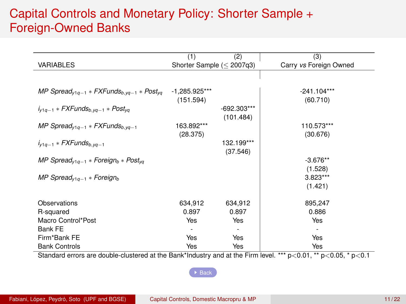### Capital Controls and Monetary Policy: Shorter Sample + Foreign-Owned Banks

<span id="page-36-0"></span>

|                                                                             | (1)                       | (2)                        | (3)                      |
|-----------------------------------------------------------------------------|---------------------------|----------------------------|--------------------------|
| <b>VARIABLES</b>                                                            | Shorter Sample $(2007q3)$ |                            | Carry vs Foreign Owned   |
|                                                                             |                           |                            |                          |
| MP Spread <sub>v1a-1</sub> * FXFunds <sub>b.va-1</sub> * Post <sub>va</sub> | $-1,285.925***$           |                            | $-241.104***$            |
|                                                                             | (151.594)                 |                            | (60.710)                 |
| $i_{v1g-1}$ * FXFunds <sub>b.va-1</sub> * Post <sub>va</sub>                |                           | $-692.303***$<br>(101.484) |                          |
| MP Spread <sub>v1a-1</sub> * FXFunds <sub>b.va-1</sub>                      | 163.892***                |                            | 110.573***               |
|                                                                             | (28.375)                  |                            | (30.676)                 |
| $i_{v1g-1}$ * FXFunds <sub>b.va-1</sub>                                     |                           | 132.199***                 |                          |
|                                                                             |                           | (37.546)                   |                          |
| MP Spread <sub>v1a-1</sub> * Foreign <sub>b</sub> * Post <sub>va</sub>      |                           |                            | $-3.676**$               |
|                                                                             |                           |                            | (1.528)                  |
| MP Spread <sub>v1g-1</sub> * Foreign <sub>b</sub>                           |                           |                            | $3.823***$               |
|                                                                             |                           |                            | (1.421)                  |
| Observations                                                                | 634,912                   | 634,912                    | 895,247                  |
| R-squared                                                                   | 0.897                     | 0.897                      | 0.886                    |
| Macro Control*Post                                                          | Yes                       | Yes                        | Yes                      |
| Bank FE                                                                     | $\overline{\phantom{a}}$  | ۰                          | $\overline{\phantom{0}}$ |
| Firm*Bank FE                                                                | Yes                       | Yes                        | Yes                      |
| <b>Bank Controls</b>                                                        | Yes                       | Yes                        | Yes                      |

Standard errors are double-clustered at the Bank\*Industry and at the Firm level. \*\*\* p<0.01, \*\* p<0.05, \* p<0.1

 $\rightarrow$  [Back](#page-17-0)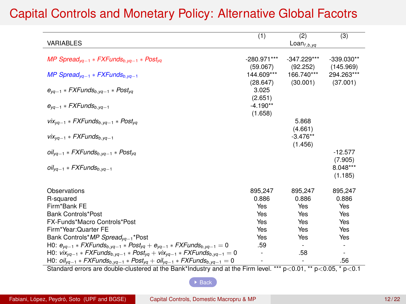| <b>VARIABLES</b>                                                                                                                                                                                                                                                                        | (1)                     | (2)<br>$Lean$ <sub>f,b,yq</sub> | (3)                       |
|-----------------------------------------------------------------------------------------------------------------------------------------------------------------------------------------------------------------------------------------------------------------------------------------|-------------------------|---------------------------------|---------------------------|
| MP Spread <sub>yq-1</sub> * FXFunds <sub>b,yq-1</sub> * Post <sub>yq</sub>                                                                                                                                                                                                              | -280.971***<br>(59.067) | $-347.229***$<br>(92.252)       | $-339.030**$<br>(145.969) |
| MP Spread <sub>va-1</sub> * FXFunds <sub>b.va-1</sub>                                                                                                                                                                                                                                   | 144.609***<br>(28.647)  | 166.740***<br>(30.001)          | 294.263***<br>(37.001)    |
| $e_{\gamma q-1}$ * FXFunds <sub>b, yq-1</sub> * Post <sub>yq</sub>                                                                                                                                                                                                                      | 3.025<br>(2.651)        |                                 |                           |
| $e_{va-1}$ * FXFunds <sub>b.va-1</sub>                                                                                                                                                                                                                                                  | $-4.190**$<br>(1.658)   |                                 |                           |
| $vix_{yq-1}$ * FXFunds <sub>b,yq-1</sub> * Post <sub>yq</sub>                                                                                                                                                                                                                           |                         | 5.868<br>(4.661)                |                           |
| $V_{Vq-1}$ * FXFunds <sub>b.va-1</sub>                                                                                                                                                                                                                                                  |                         | $-3.476**$<br>(1.456)           |                           |
| $\frac{\partial i}{\partial q_{-1}}$ * FXFunds <sub>b, yq-1</sub> * Post <sub>yq</sub>                                                                                                                                                                                                  |                         |                                 | $-12.577$<br>(7.905)      |
| $\frac{\partial i}{\partial q_{-1}}$ * FXFunds <sub>b, yq-1</sub>                                                                                                                                                                                                                       |                         |                                 | 8.048***<br>(1.185)       |
| Observations                                                                                                                                                                                                                                                                            | 895,247                 | 895.247                         | 895,247                   |
| R-squared                                                                                                                                                                                                                                                                               | 0.886                   | 0.886                           | 0.886                     |
| Firm*Bank FE                                                                                                                                                                                                                                                                            | Yes                     | Yes                             | Yes                       |
| Bank Controls*Post                                                                                                                                                                                                                                                                      | Yes                     | Yes                             | Yes                       |
| FX-Funds*Macro Controls*Post                                                                                                                                                                                                                                                            | Yes                     | Yes                             | Yes                       |
| Firm*Year:Quarter FE                                                                                                                                                                                                                                                                    | Yes                     | Yes                             | Yes                       |
| Bank Controls*MP Spread <sub>yq-1</sub> *Post                                                                                                                                                                                                                                           | Yes                     | Yes                             | Yes                       |
| H0: $e_{yq-1}$ * FXFunds <sub>b, yq-1</sub> * Post <sub>yq</sub> + $e_{yq-1}$ * FXFunds <sub>b, yq-1</sub> = 0                                                                                                                                                                          | .59                     | ٠                               | ٠                         |
| H0: $\frac{v}{x_{yq-1}}$ * FXFunds <sub>b, yq-1</sub> * Post <sub>yq</sub> + $\frac{v}{x_{yq-1}}$ * FXFunds <sub>b, yq-1</sub> = 0                                                                                                                                                      |                         | .58                             | ٠                         |
| H0: $\frac{\partial i}{\partial y_{q-1}} * FXF$ unds <sub>b, yq-1</sub> $*$ Post <sub>yq</sub> + $\frac{\partial i}{\partial q-1} * FXF$ unds <sub>b, yq-1</sub> = 0<br>Ctondard errors are deuble eluctored at the Bank*Industry and at the Firm lovel *** p <0.01 ** p <0.05 * p <0.1 |                         |                                 | .56                       |

### <span id="page-37-0"></span>Capital Controls and Monetary Policy: Alternative Global Facotrs

Standard errors are double-clustered at the Bank\*Industry and at the Firm level. \*\*\* p<0.01, \*\* p<0.05, \* p<sup>&</sup>lt;0.1

#### **[Back](#page-17-0)**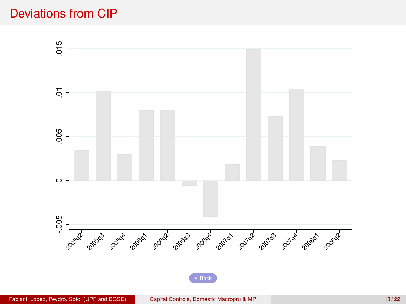### <span id="page-38-0"></span>Deviations from CIP



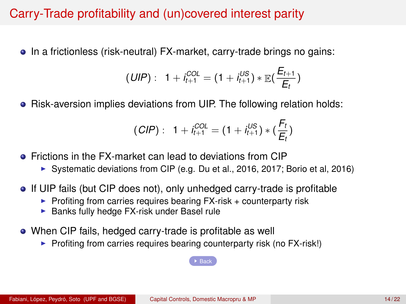### Carry-Trade profitability and (un)covered interest parity

<span id="page-39-0"></span>• In a frictionless (risk-neutral) FX-market, carry-trade brings no gains:

$$
(UIP): 1 + i_{t+1}^{COL} = (1 + i_{t+1}^{US}) * \mathbb{E}(\frac{E_{t+1}}{E_t})
$$

• Risk-aversion implies deviations from UIP. The following relation holds:

$$
(CIP): 1 + i_{t+1}^{COL} = (1 + i_{t+1}^{US}) * (\frac{F_t}{E_t})
$$

- **•** Frictions in the FX-market can lead to deviations from CIP
	- ▶ Systematic deviations from CIP (e.g. Du et al., 2016, 2017; Borio et al, 2016)
- If UIP fails (but CIP does not), only unhedged carry-trade is profitable
	- $\triangleright$  Profiting from carries requires bearing FX-risk + counterparty risk
	- $\blacktriangleright$  Banks fully hedge FX-risk under Basel rule
- When CIP fails, hedged carry-trade is profitable as well
	- $\triangleright$  Profiting from carries requires bearing counterparty risk (no FX-risk!)

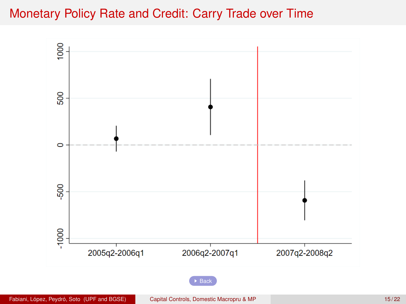### <span id="page-40-0"></span>Monetary Policy Rate and Credit: Carry Trade over Time

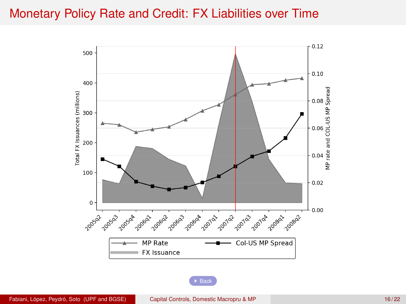### <span id="page-41-0"></span>Monetary Policy Rate and Credit: FX Liabilities over Time



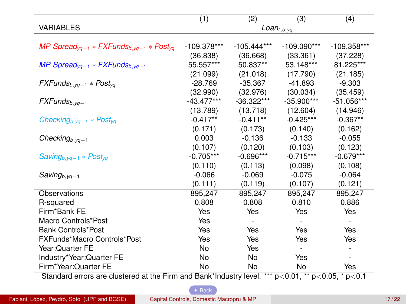<span id="page-42-0"></span>

|                                                                                                      | (1)           | (2)           | (3)             | (4)           |
|------------------------------------------------------------------------------------------------------|---------------|---------------|-----------------|---------------|
| <b>VARIABLES</b>                                                                                     |               |               | $Loan_{f,b,yq}$ |               |
|                                                                                                      |               |               |                 |               |
| MP Spread <sub>va-1</sub> * FXFunds <sub>b.va-1</sub> * Post <sub>va</sub>                           | $-109.378***$ | $-105.444***$ | $-109.090***$   | $-109.358***$ |
|                                                                                                      | (36.838)      | (36.668)      | (33.361)        | (37.228)      |
| MP Spread <sub>va-1</sub> * FXFunds <sub>b.va-1</sub>                                                | 55.557***     | 50.837**      | 53.148***       | 81.225***     |
|                                                                                                      | (21.099)      | (21.018)      | (17.790)        | (21.185)      |
| $FXFunds_{b, yq-1} * Post_{yq}$                                                                      | $-28.769$     | $-35.367$     | $-41.893$       | $-9.303$      |
|                                                                                                      | (32.990)      | (32.976)      | (30.034)        | (35.459)      |
| $FXFunds_{b, vq-1}$                                                                                  | $-43.477***$  | $-36.322***$  | $-35.900***$    | $-51.056***$  |
|                                                                                                      | (13.789)      | (13.718)      | (12.604)        | (14.946)      |
| Checking <sub>b,yq-1</sub> * Post <sub>yq</sub>                                                      | $-0.417**$    | $-0.411**$    | $-0.425***$     | $-0.367**$    |
|                                                                                                      | (0.171)       | (0.173)       | (0.140)         | (0.162)       |
| Checking <sub>b,yq-1</sub>                                                                           | 0.003         | $-0.136$      | $-0.133$        | $-0.055$      |
|                                                                                                      | (0.107)       | (0.120)       | (0.103)         | (0.123)       |
| $Saving_{b, vq-1} * Post_{va}$                                                                       | $-0.705***$   | $-0.696***$   | $-0.715***$     | $-0.679***$   |
|                                                                                                      | (0.110)       | (0.113)       | (0.098)         | (0.108)       |
| $Saving_{b, yq-1}$                                                                                   | $-0.066$      | $-0.069$      | $-0.075$        | $-0.064$      |
|                                                                                                      | (0.111)       | (0.119)       | (0.107)         | (0.121)       |
| Observations                                                                                         | 895,247       | 895,247       | 895,247         | 895,247       |
| R-squared                                                                                            | 0.808         | 0.808         | 0.810           | 0.886         |
| Firm*Bank FE                                                                                         | Yes           | Yes           | Yes             | Yes           |
| Macro Controls*Post                                                                                  | Yes           |               |                 |               |
| <b>Bank Controls*Post</b>                                                                            | Yes           | Yes           | Yes             | Yes           |
| FXFunds*Macro Controls*Post                                                                          | Yes           | Yes           | Yes             | Yes           |
| Year: Quarter FE                                                                                     | No            | Yes           | ÷.              |               |
| Industry*Year:Quarter FE                                                                             | No            | No            | Yes             | ٠             |
| Firm*Year:Quarter FE                                                                                 | No            | No            | No              | Yes           |
| Standard orrors are olustered at the Firm and Rapk*Industry lovel *** p < 0.01 ** p < 0.05 * p < 0.1 |               |               |                 |               |

Standard errors are clustered at the Firm and Bank\*Industry level. \*\*\* p<0.01, \*\* p<0.05, \* p<0.1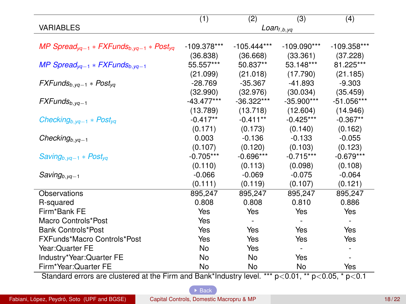<span id="page-43-0"></span>

|                                                                                                      | (1)           | (2)           | (3)             | (4)           |
|------------------------------------------------------------------------------------------------------|---------------|---------------|-----------------|---------------|
| <b>VARIABLES</b>                                                                                     |               |               | $Loan_{f,b,yq}$ |               |
|                                                                                                      |               |               |                 |               |
| MP Spread <sub>va-1</sub> * FXFunds <sub>b.va-1</sub> * Post <sub>va</sub>                           | $-109.378***$ | $-105.444***$ | $-109.090***$   | $-109.358***$ |
|                                                                                                      | (36.838)      | (36.668)      | (33.361)        | (37.228)      |
| MP Spread <sub>va-1</sub> * FXFunds <sub>b.va-1</sub>                                                | 55.557***     | 50.837**      | 53.148***       | 81.225***     |
|                                                                                                      | (21.099)      | (21.018)      | (17.790)        | (21.185)      |
| $FXFunds_{b, yq-1} * Post_{yq}$                                                                      | $-28.769$     | $-35.367$     | $-41.893$       | $-9.303$      |
|                                                                                                      | (32.990)      | (32.976)      | (30.034)        | (35.459)      |
| $FXFunds_{b, vq-1}$                                                                                  | $-43.477***$  | $-36.322***$  | $-35.900***$    | $-51.056***$  |
|                                                                                                      | (13.789)      | (13.718)      | (12.604)        | (14.946)      |
| Checking <sub>b,yq-1</sub> * Post <sub>yq</sub>                                                      | $-0.417**$    | $-0.411**$    | $-0.425***$     | $-0.367**$    |
|                                                                                                      | (0.171)       | (0.173)       | (0.140)         | (0.162)       |
| Checking <sub>b,yq-1</sub>                                                                           | 0.003         | $-0.136$      | $-0.133$        | $-0.055$      |
|                                                                                                      | (0.107)       | (0.120)       | (0.103)         | (0.123)       |
| $Saving_{b, vq-1} * Post_{va}$                                                                       | $-0.705***$   | $-0.696***$   | $-0.715***$     | $-0.679***$   |
|                                                                                                      | (0.110)       | (0.113)       | (0.098)         | (0.108)       |
| $Saving_{b, yq-1}$                                                                                   | $-0.066$      | $-0.069$      | $-0.075$        | $-0.064$      |
|                                                                                                      | (0.111)       | (0.119)       | (0.107)         | (0.121)       |
| Observations                                                                                         | 895,247       | 895,247       | 895,247         | 895,247       |
| R-squared                                                                                            | 0.808         | 0.808         | 0.810           | 0.886         |
| Firm*Bank FE                                                                                         | Yes           | Yes           | Yes             | Yes           |
| Macro Controls*Post                                                                                  | Yes           |               |                 |               |
| <b>Bank Controls*Post</b>                                                                            | Yes           | Yes           | Yes             | Yes           |
| FXFunds*Macro Controls*Post                                                                          | Yes           | Yes           | Yes             | Yes           |
| Year: Quarter FE                                                                                     | No            | Yes           | ÷.              |               |
| Industry*Year:Quarter FE                                                                             | No            | No            | Yes             | ٠             |
| Firm*Year:Quarter FE                                                                                 | No            | No            | No              | Yes           |
| Standard orrors are olustered at the Firm and Rapk*Industry lovel *** p < 0.01 ** p < 0.05 * p < 0.1 |               |               |                 |               |

Standard errors are clustered at the Firm and Bank\*Industry level. \*\*\* p<0.01, \*\* p<0.05, \* p<0.1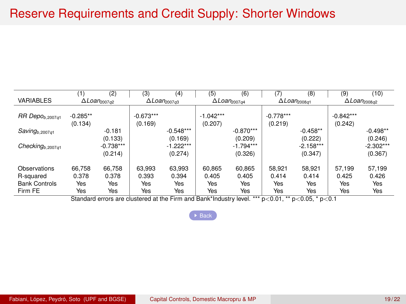### Reserve Requirements and Credit Supply: Shorter Windows

<span id="page-44-0"></span>

|                             | (1)                   | (2)                                    | (3)                                                                                                       | (4)                                                 | (5)                    | (6)                                    | (7)                    | (8)                                           | (9)                                    | (10)        |
|-----------------------------|-----------------------|----------------------------------------|-----------------------------------------------------------------------------------------------------------|-----------------------------------------------------|------------------------|----------------------------------------|------------------------|-----------------------------------------------|----------------------------------------|-------------|
| <b>VARIABLES</b>            |                       | $\Delta$ <i>Loan</i> <sub>2007q2</sub> |                                                                                                           | $\Delta$ <i>Loan</i> <sub>2007<math>a</math>3</sub> |                        | $\Delta$ <i>Loan</i> <sub>2007q4</sub> |                        | $\Delta$ <i>Loan</i> <sub>2008<i>a</i>1</sub> | $\Delta$ <i>Loan</i> <sub>2008q2</sub> |             |
| RR Depo <sub>b,2007q1</sub> | $-0.285**$<br>(0.134) |                                        | $-0.673***$<br>(0.169)                                                                                    |                                                     | $-1.042***$<br>(0.207) |                                        | $-0.778***$<br>(0.219) |                                               | $-0.842***$<br>(0.242)                 |             |
| $Saving_{b,2007q1}$         |                       | $-0.181$                               |                                                                                                           | $-0.548***$                                         |                        | $-0.870***$                            |                        | $-0.458**$                                    |                                        | $-0.498**$  |
|                             |                       | (0.133)                                |                                                                                                           | (0.169)                                             |                        | (0.209)                                |                        | (0.222)                                       |                                        | (0.246)     |
| Checking $b$ ,2007q1        |                       | $-0.738***$                            |                                                                                                           | $-1.222***$                                         |                        | $-1.794***$                            |                        | $-2.158***$                                   |                                        | $-2.302***$ |
|                             |                       | (0.214)                                |                                                                                                           | (0.274)                                             |                        | (0.326)                                |                        | (0.347)                                       |                                        | (0.367)     |
| Observations                | 66.758                | 66.758                                 | 63.993                                                                                                    | 63.993                                              | 60.865                 | 60.865                                 | 58.921                 | 58.921                                        | 57.199                                 | 57,199      |
| R-squared                   | 0.378                 | 0.378                                  | 0.393                                                                                                     | 0.394                                               | 0.405                  | 0.405                                  | 0.414                  | 0.414                                         | 0.425                                  | 0.426       |
| <b>Bank Controls</b>        | Yes                   | Yes                                    | Yes                                                                                                       | Yes                                                 | Yes                    | Yes                                    | Yes                    | Yes                                           | Yes                                    | Yes         |
| Firm FE                     | Yes                   | Yes                                    | Yes                                                                                                       | Yes                                                 | Yes                    | Yes                                    | Yes                    | Yes                                           | Yes                                    | Yes         |
|                             |                       |                                        | Standard errors are clustered at the Firm and Bank*Industry level. *** $p<0.01$ , ** $p<0.05$ , * $p<0.1$ |                                                     |                        |                                        |                        |                                               |                                        |             |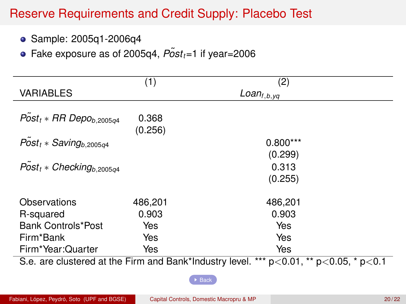# Reserve Requirements and Credit Supply: Placebo Test

<span id="page-45-0"></span>● Sample: 2005q1-2006q4

• Fake exposure as of 2005q4,  $P\tilde{o}st_t=1$  if year=2006

|                                        | (1)              | (2)                                                                                            |
|----------------------------------------|------------------|------------------------------------------------------------------------------------------------|
| <b>VARIABLES</b>                       |                  | $Loan_{f,b,yq}$                                                                                |
| $Post_t * RR$ Depo <sub>b,2005q4</sub> | 0.368<br>(0.256) |                                                                                                |
| $Post_t * Saving_{b,2005q4}$           |                  | $0.800***$                                                                                     |
|                                        |                  | (0.299)                                                                                        |
| $P\tilde{o}st_t * Checking_{b,2005q4}$ |                  | 0.313                                                                                          |
|                                        |                  | (0.255)                                                                                        |
| Observations                           | 486,201          | 486,201                                                                                        |
| R-squared                              | 0.903            | 0.903                                                                                          |
| Bank Controls*Post                     | Yes              | Yes                                                                                            |
| Firm*Bank                              | Yes              | Yes                                                                                            |
| Firm*Year:Quarter                      | Yes              | Yes                                                                                            |
|                                        |                  | S.e. are clustered at the Firm and Bank*Industry level. *** $p<0.01$ , ** $p<0.05$ , * $p<0.1$ |

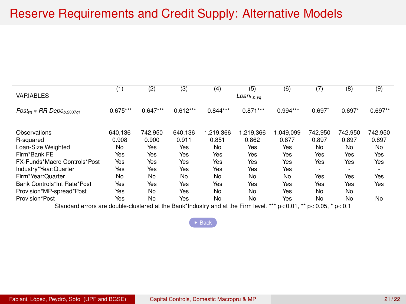### Reserve Requirements and Credit Supply: Alternative Models

<span id="page-46-0"></span>

|                                                                                  | (1)         | (2)         | (3)         | (4)         | (5)              | (6)                            | (7)      | (8)       | (9)        |
|----------------------------------------------------------------------------------|-------------|-------------|-------------|-------------|------------------|--------------------------------|----------|-----------|------------|
| <b>VARIABLES</b>                                                                 |             |             |             |             | $Loan_{f,b, yq}$ |                                |          |           |            |
| $Post_{va} * RR$ Depo <sub>b.2007a1</sub>                                        | $-0.675***$ | $-0.647***$ | $-0.612***$ | $-0.844***$ | $-0.871***$      | $-0.994***$                    | $-0.697$ | $-0.697*$ | $-0.697**$ |
| Observations                                                                     | 640.136     | 742.950     | 640.136     | 1.219.366   | 1.219.366        | 1.049.099                      | 742.950  | 742.950   | 742.950    |
| R-squared                                                                        | 0.908       | 0.900       | 0.911       | 0.851       | 0.862            | 0.877                          | 0.897    | 0.897     | 0.897      |
| Loan-Size Weighted                                                               | No          | Yes         | Yes         | <b>No</b>   | Yes              | Yes                            | No       | No        | No         |
| Firm*Bank FE                                                                     | Yes         | Yes         | Yes         | Yes         | Yes              | Yes                            | Yes      | Yes       | Yes        |
| FX-Funds*Macro Controls*Post                                                     | Yes         | Yes         | Yes         | Yes         | Yes              | Yes                            | Yes      | Yes       | Yes        |
| Industry*Year:Quarter                                                            | Yes         | Yes         | Yes         | Yes         | Yes              | Yes                            | ٠        | ٠         | ٠          |
| Firm*Year:Quarter                                                                | No          | No          | No          | No          | No               | No                             | Yes      | Yes       | Yes        |
| Bank Controls*Int Rate*Post                                                      | Yes         | Yes         | Yes         | Yes         | Yes              | Yes                            | Yes      | Yes       | Yes        |
| Provision*MP-spread*Post                                                         | Yes         | No          | Yes         | No          | No               | Yes                            | No       | No        |            |
| Provision*Post                                                                   | Yes         | No          | Yes         | No          | No               | Yes                            | No       | No        | No         |
| Standard errors are double-clustered at the Bank*Industry and at the Firm level. |             |             |             |             |                  | *** p<0.01, ** p<0.05, * p<0.1 |          |           |            |

 $\rightarrow$  [Back](#page-22-0)